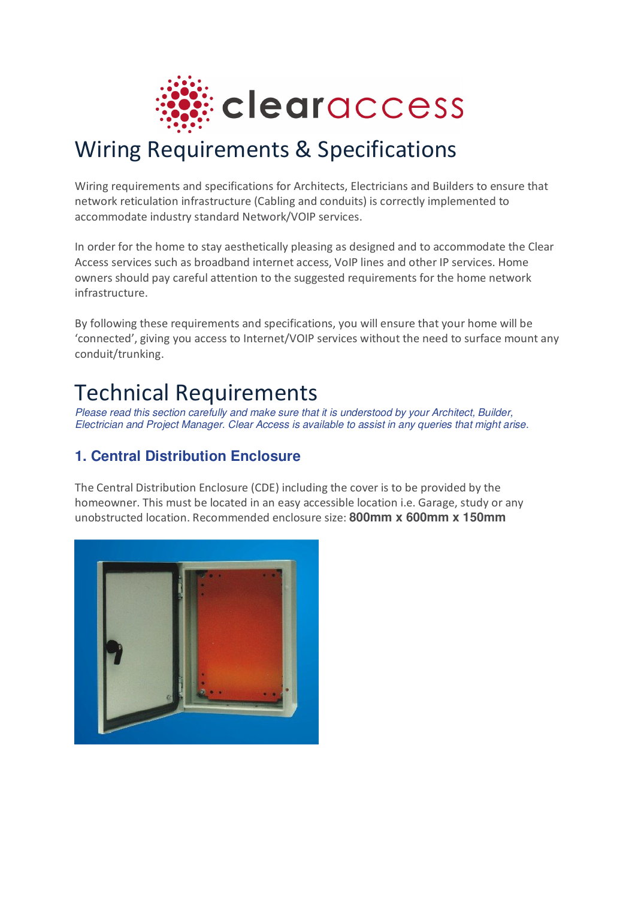

## Wiring Requirements & Specifications

Wiring requirements and specifications for Architects, Electricians and Builders to ensure that network reticulation infrastructure (Cabling and conduits) is correctly implemented to accommodate industry standard Network/VOIP services.

In order for the home to stay aesthetically pleasing as designed and to accommodate the Clear Access services such as broadband internet access, VoIP lines and other IP services. Home owners should pay careful attention to the suggested requirements for the home network infrastructure.

By following these requirements and specifications, you will ensure that your home will be 'connected', giving you access to Internet/VOIP services without the need to surface mount any conduit/trunking.

# Technical Requirements

Please read this section carefully and make sure that it is understood by your Architect, Builder, Electrician and Project Manager. Clear Access is available to assist in any queries that might arise.

### **1. Central Distribution Enclosure**

The Central Distribution Enclosure (CDE) including the cover is to be provided by the homeowner. This must be located in an easy accessible location i.e. Garage, study or any unobstructed location. Recommended enclosure size: **800mm x 600mm x 150mm** 

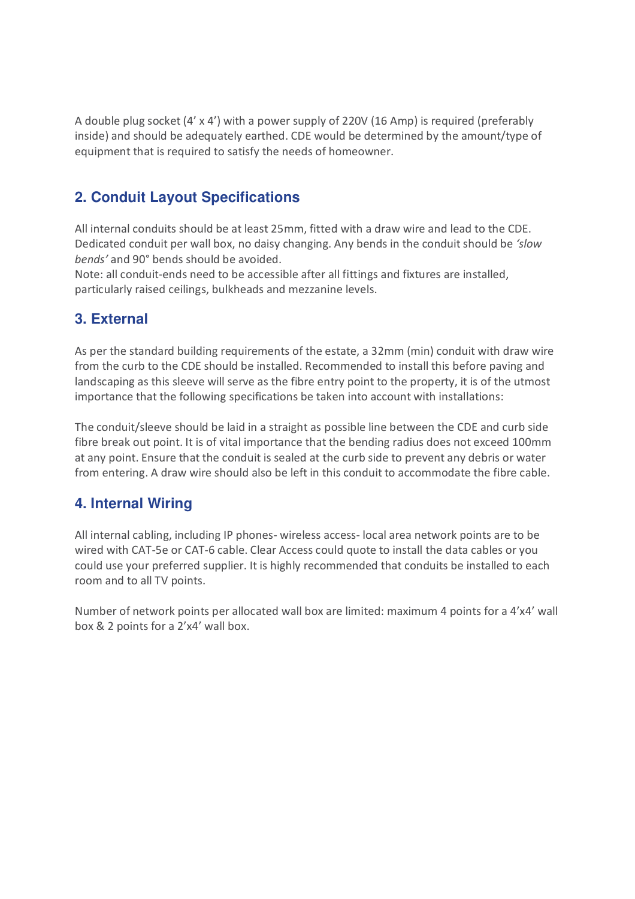A double plug socket (4' x 4') with a power supply of 220V (16 Amp) is required (preferably inside) and should be adequately earthed. CDE would be determined by the amount/type of equipment that is required to satisfy the needs of homeowner.

## **2. Conduit Layout Specifications**

All internal conduits should be at least 25mm, fitted with a draw wire and lead to the CDE. Dedicated conduit per wall box, no daisy changing. Any bends in the conduit should be *'slow bends'* and 90° bends should be avoided.

Note: all conduit-ends need to be accessible after all fittings and fixtures are installed, particularly raised ceilings, bulkheads and mezzanine levels.

#### **3. External**

As per the standard building requirements of the estate, a 32mm (min) conduit with draw wire from the curb to the CDE should be installed. Recommended to install this before paving and landscaping as this sleeve will serve as the fibre entry point to the property, it is of the utmost importance that the following specifications be taken into account with installations:

The conduit/sleeve should be laid in a straight as possible line between the CDE and curb side fibre break out point. It is of vital importance that the bending radius does not exceed 100mm at any point. Ensure that the conduit is sealed at the curb side to prevent any debris or water from entering. A draw wire should also be left in this conduit to accommodate the fibre cable.

#### **4. Internal Wiring**

All internal cabling, including IP phones- wireless access- local area network points are to be wired with CAT-5e or CAT-6 cable. Clear Access could quote to install the data cables or you could use your preferred supplier. It is highly recommended that conduits be installed to each room and to all TV points.

Number of network points per allocated wall box are limited: maximum 4 points for a 4'x4' wall box & 2 points for a 2'x4' wall box.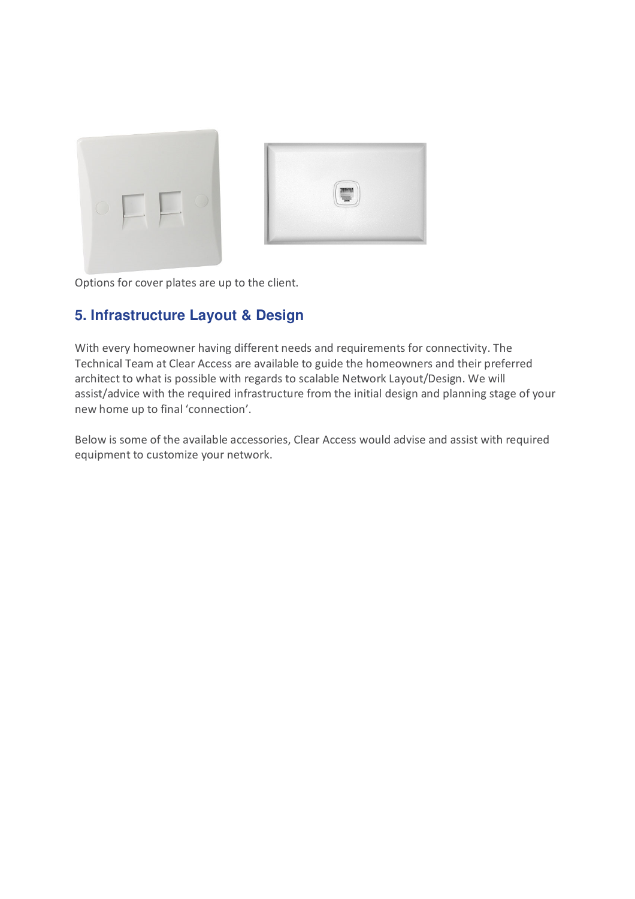



Options for cover plates are up to the client.

#### **5. Infrastructure Layout & Design**

With every homeowner having different needs and requirements for connectivity. The Technical Team at Clear Access are available to guide the homeowners and their preferred architect to what is possible with regards to scalable Network Layout/Design. We will assist/advice with the required infrastructure from the initial design and planning stage of your new home up to final 'connection'.

Below is some of the available accessories, Clear Access would advise and assist with required equipment to customize your network.